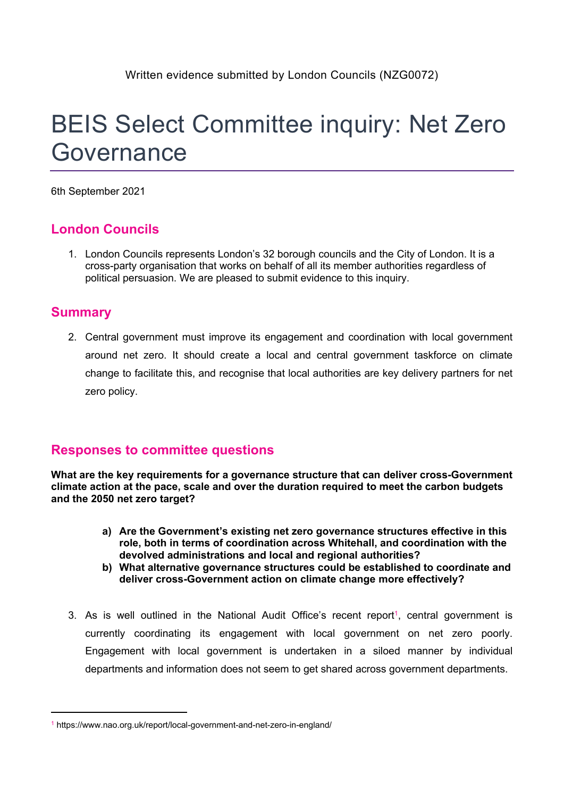# BEIS Select Committee inquiry: Net Zero Governance

6th September 2021

## **London Councils**

1. London Councils represents London's 32 borough councils and the City of London. It is a cross-party organisation that works on behalf of all its member authorities regardless of political persuasion. We are pleased to submit evidence to this inquiry.

### **Summary**

2. Central government must improve its engagement and coordination with local government around net zero. It should create a local and central government taskforce on climate change to facilitate this, and recognise that local authorities are key delivery partners for net zero policy.

## **Responses to committee questions**

**What are the key requirements for a governance structure that can deliver cross-Government climate action at the pace, scale and over the duration required to meet the carbon budgets and the 2050 net zero target?**

- **a) Are the Government's existing net zero governance structures effective in this role, both in terms of coordination across Whitehall, and coordination with the devolved administrations and local and regional authorities?**
- **b) What alternative governance structures could be established to coordinate and deliver cross-Government action on climate change more effectively?**
- 3. As is well outlined in the National Audit Office's recent report<sup>1</sup>, central government is currently coordinating its engagement with local government on net zero poorly. Engagement with local government is undertaken in a siloed manner by individual departments and information does not seem to get shared across government departments.

<sup>1</sup> https://www.nao.org.uk/report/local-government-and-net-zero-in-england/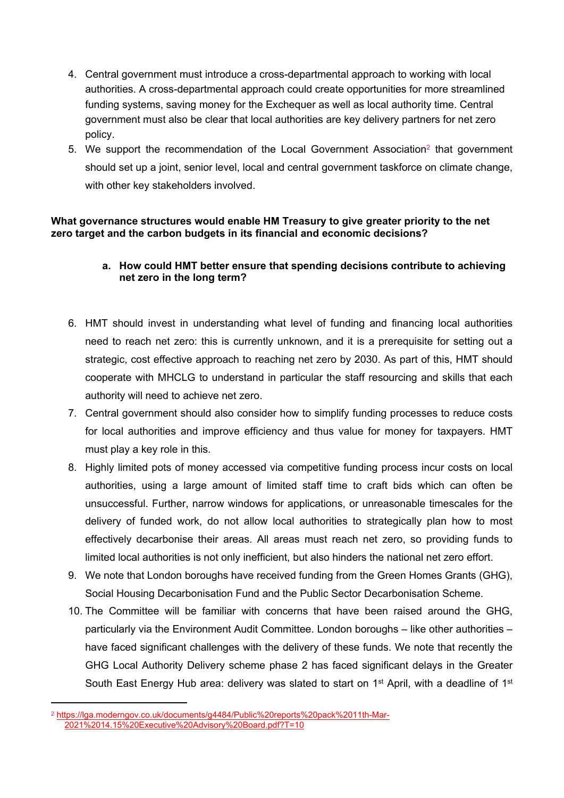- 4. Central government must introduce a cross-departmental approach to working with local authorities. A cross-departmental approach could create opportunities for more streamlined funding systems, saving money for the Exchequer as well as local authority time. Central government must also be clear that local authorities are key delivery partners for net zero policy.
- 5. We support the recommendation of the Local Government Association<sup>2</sup> that government should set up a joint, senior level, local and central government taskforce on climate change, with other key stakeholders involved.

#### **What governance structures would enable HM Treasury to give greater priority to the net zero target and the carbon budgets in its financial and economic decisions?**

#### **a. How could HMT better ensure that spending decisions contribute to achieving net zero in the long term?**

- 6. HMT should invest in understanding what level of funding and financing local authorities need to reach net zero: this is currently unknown, and it is a prerequisite for setting out a strategic, cost effective approach to reaching net zero by 2030. As part of this, HMT should cooperate with MHCLG to understand in particular the staff resourcing and skills that each authority will need to achieve net zero.
- 7. Central government should also consider how to simplify funding processes to reduce costs for local authorities and improve efficiency and thus value for money for taxpayers. HMT must play a key role in this.
- 8. Highly limited pots of money accessed via competitive funding process incur costs on local authorities, using a large amount of limited staff time to craft bids which can often be unsuccessful. Further, narrow windows for applications, or unreasonable timescales for the delivery of funded work, do not allow local authorities to strategically plan how to most effectively decarbonise their areas. All areas must reach net zero, so providing funds to limited local authorities is not only inefficient, but also hinders the national net zero effort.
- 9. We note that London boroughs have received funding from the Green Homes Grants (GHG), Social Housing Decarbonisation Fund and the Public Sector Decarbonisation Scheme.
- 10. The Committee will be familiar with concerns that have been raised around the GHG, particularly via the Environment Audit Committee. London boroughs – like other authorities – have faced significant challenges with the delivery of these funds. We note that recently the GHG Local Authority Delivery scheme phase 2 has faced significant delays in the Greater South East Energy Hub area: delivery was slated to start on 1<sup>st</sup> April, with a deadline of 1<sup>st</sup>

<sup>2</sup> [https://lga.moderngov.co.uk/documents/g4484/Public%20reports%20pack%2011th-Mar-](https://lga.moderngov.co.uk/documents/g4484/Public%20reports%20pack%2011th-Mar-2021%2014.15%20Executive%20Advisory%20Board.pdf?T=10)[2021%2014.15%20Executive%20Advisory%20Board.pdf?T=10](https://lga.moderngov.co.uk/documents/g4484/Public%20reports%20pack%2011th-Mar-2021%2014.15%20Executive%20Advisory%20Board.pdf?T=10)